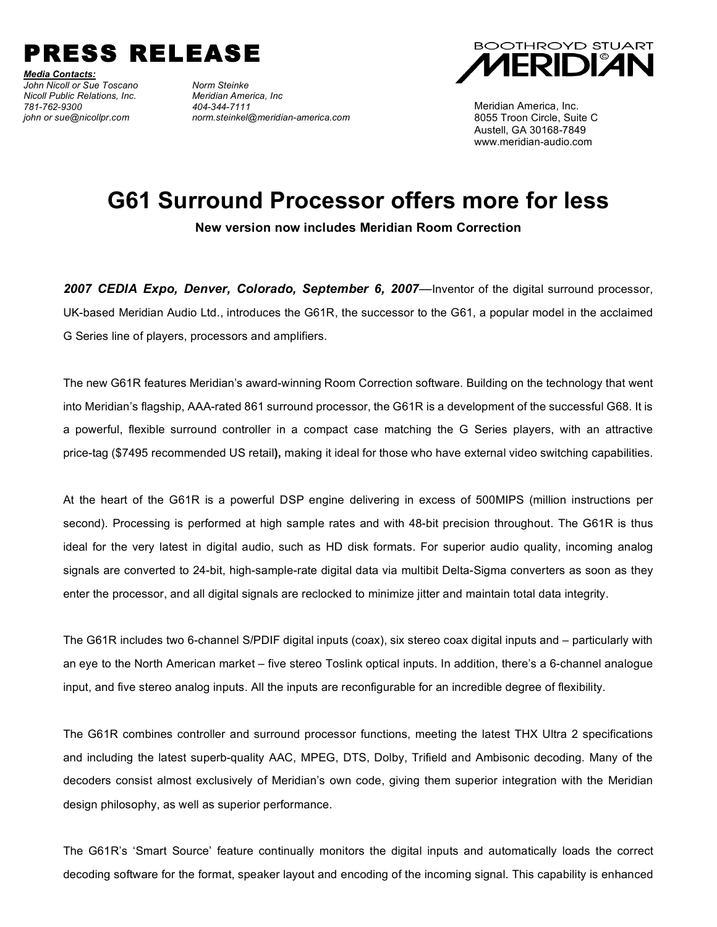

*Media Contacts: John Nicoll or Sue Toscano Norm Steinke Nicoll Public Relations, Inc. Meridian America, Inc 781-762-9300 404-344-7111*

*john or sue@nicollpr.com norm.steinkel@meridian-america.com*



Meridian America, Inc. 8055 Troon Circle, Suite C Austell, GA 30168-7849 www.meridian-audio.com

## **G61 Surround Processor offers more for less**

**New version now includes Meridian Room Correction**

*2007 CEDIA Expo, Denver, Colorado, September 6, 2007—*Inventor of the digital surround processor, UK-based Meridian Audio Ltd., introduces the G61R, the successor to the G61, a popular model in the acclaimed G Series line of players, processors and amplifiers.

The new G61R features Meridian's award-winning Room Correction software. Building on the technology that went into Meridian's flagship, AAA-rated 861 surround processor, the G61R is a development of the successful G68. It is a powerful, flexible surround controller in a compact case matching the G Series players, with an attractive price-tag (\$7495 recommended US retail**),** making it ideal for those who have external video switching capabilities.

At the heart of the G61R is a powerful DSP engine delivering in excess of 500MIPS (million instructions per second). Processing is performed at high sample rates and with 48-bit precision throughout. The G61R is thus ideal for the very latest in digital audio, such as HD disk formats. For superior audio quality, incoming analog signals are converted to 24-bit, high-sample-rate digital data via multibit Delta-Sigma converters as soon as they enter the processor, and all digital signals are reclocked to minimize jitter and maintain total data integrity.

The G61R includes two 6-channel S/PDIF digital inputs (coax), six stereo coax digital inputs and – particularly with an eye to the North American market – five stereo Toslink optical inputs. In addition, there's a 6-channel analogue input, and five stereo analog inputs. All the inputs are reconfigurable for an incredible degree of flexibility.

The G61R combines controller and surround processor functions, meeting the latest THX Ultra 2 specifications and including the latest superb-quality AAC, MPEG, DTS, Dolby, Trifield and Ambisonic decoding. Many of the decoders consist almost exclusively of Meridian's own code, giving them superior integration with the Meridian design philosophy, as well as superior performance.

The G61R's 'Smart Source' feature continually monitors the digital inputs and automatically loads the correct decoding software for the format, speaker layout and encoding of the incoming signal. This capability is enhanced